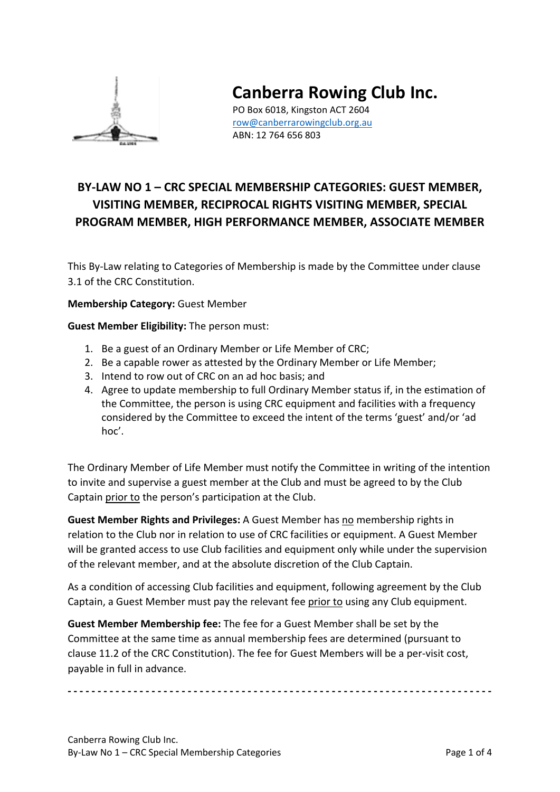

# **Canberra Rowing Club Inc.**

PO Box 6018, Kingston ACT 2604 [row@canberrarowingclub.org.au](mailto:row@canberrarowingclub.org.au) ABN: 12 764 656 803

# **BY-LAW NO 1 – CRC SPECIAL MEMBERSHIP CATEGORIES: GUEST MEMBER, VISITING MEMBER, RECIPROCAL RIGHTS VISITING MEMBER, SPECIAL PROGRAM MEMBER, HIGH PERFORMANCE MEMBER, ASSOCIATE MEMBER**

This By-Law relating to Categories of Membership is made by the Committee under clause 3.1 of the CRC Constitution.

#### **Membership Category:** Guest Member

**Guest Member Eligibility:** The person must:

- 1. Be a guest of an Ordinary Member or Life Member of CRC;
- 2. Be a capable rower as attested by the Ordinary Member or Life Member;
- 3. Intend to row out of CRC on an ad hoc basis; and
- 4. Agree to update membership to full Ordinary Member status if, in the estimation of the Committee, the person is using CRC equipment and facilities with a frequency considered by the Committee to exceed the intent of the terms 'guest' and/or 'ad hoc'.

The Ordinary Member of Life Member must notify the Committee in writing of the intention to invite and supervise a guest member at the Club and must be agreed to by the Club Captain prior to the person's participation at the Club.

**Guest Member Rights and Privileges:** A Guest Member has no membership rights in relation to the Club nor in relation to use of CRC facilities or equipment. A Guest Member will be granted access to use Club facilities and equipment only while under the supervision of the relevant member, and at the absolute discretion of the Club Captain.

As a condition of accessing Club facilities and equipment, following agreement by the Club Captain, a Guest Member must pay the relevant fee prior to using any Club equipment.

**Guest Member Membership fee:** The fee for a Guest Member shall be set by the Committee at the same time as annual membership fees are determined (pursuant to clause 11.2 of the CRC Constitution). The fee for Guest Members will be a per-visit cost, payable in full in advance.

**- - - - - - - - - - - - - - - - - - - - - - - - - - - - - - - - - - - - - - - - - - - - - - - - - - - - - - - - - - - - - - - - - - - - - - -**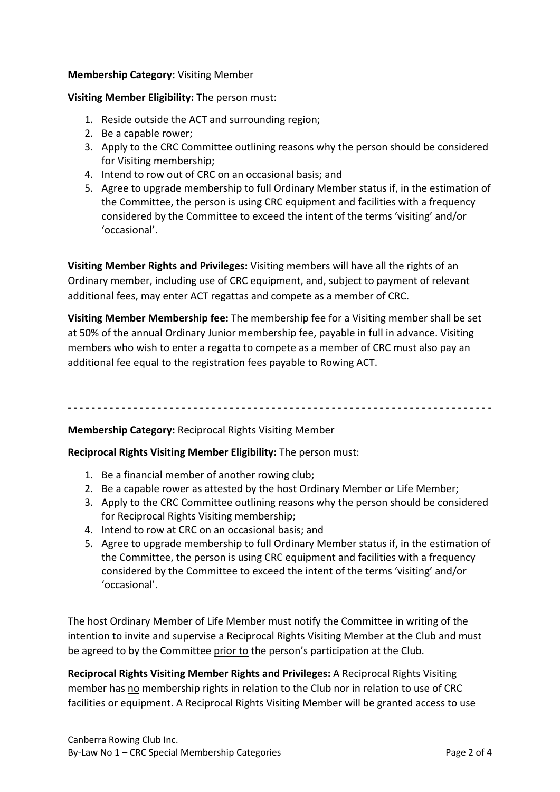#### **Membership Category:** Visiting Member

#### **Visiting Member Eligibility:** The person must:

- 1. Reside outside the ACT and surrounding region;
- 2. Be a capable rower;
- 3. Apply to the CRC Committee outlining reasons why the person should be considered for Visiting membership;
- 4. Intend to row out of CRC on an occasional basis; and
- 5. Agree to upgrade membership to full Ordinary Member status if, in the estimation of the Committee, the person is using CRC equipment and facilities with a frequency considered by the Committee to exceed the intent of the terms 'visiting' and/or 'occasional'.

**Visiting Member Rights and Privileges:** Visiting members will have all the rights of an Ordinary member, including use of CRC equipment, and, subject to payment of relevant additional fees, may enter ACT regattas and compete as a member of CRC.

**Visiting Member Membership fee:** The membership fee for a Visiting member shall be set at 50% of the annual Ordinary Junior membership fee, payable in full in advance. Visiting members who wish to enter a regatta to compete as a member of CRC must also pay an additional fee equal to the registration fees payable to Rowing ACT.

**- - - - - - - - - - - - - - - - - - - - - - - - - - - - - - - - - - - - - - - - - - - - - - - - - - - - - - - - - - - - - - - - - - - - - - -**

#### **Membership Category:** Reciprocal Rights Visiting Member

**Reciprocal Rights Visiting Member Eligibility:** The person must:

- 1. Be a financial member of another rowing club;
- 2. Be a capable rower as attested by the host Ordinary Member or Life Member;
- 3. Apply to the CRC Committee outlining reasons why the person should be considered for Reciprocal Rights Visiting membership;
- 4. Intend to row at CRC on an occasional basis; and
- 5. Agree to upgrade membership to full Ordinary Member status if, in the estimation of the Committee, the person is using CRC equipment and facilities with a frequency considered by the Committee to exceed the intent of the terms 'visiting' and/or 'occasional'.

The host Ordinary Member of Life Member must notify the Committee in writing of the intention to invite and supervise a Reciprocal Rights Visiting Member at the Club and must be agreed to by the Committee prior to the person's participation at the Club.

**Reciprocal Rights Visiting Member Rights and Privileges:** A Reciprocal Rights Visiting member has no membership rights in relation to the Club nor in relation to use of CRC facilities or equipment. A Reciprocal Rights Visiting Member will be granted access to use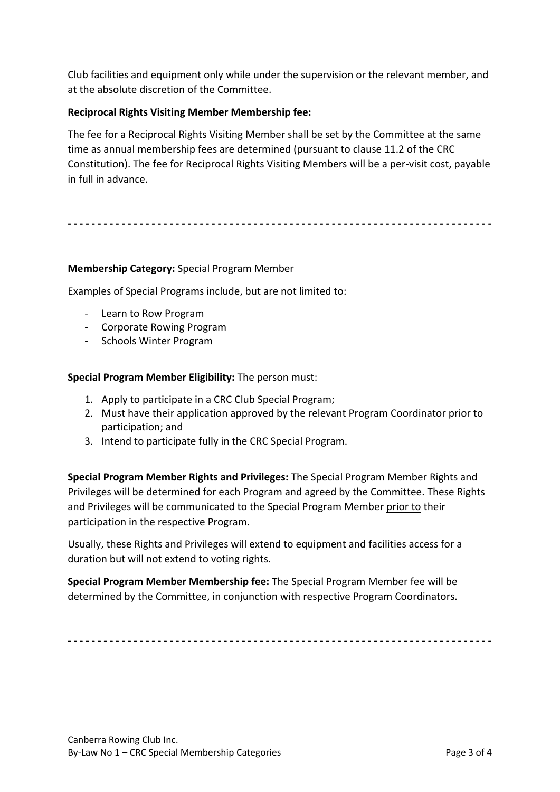Club facilities and equipment only while under the supervision or the relevant member, and at the absolute discretion of the Committee.

### **Reciprocal Rights Visiting Member Membership fee:**

The fee for a Reciprocal Rights Visiting Member shall be set by the Committee at the same time as annual membership fees are determined (pursuant to clause 11.2 of the CRC Constitution). The fee for Reciprocal Rights Visiting Members will be a per-visit cost, payable in full in advance.

**- - - - - - - - - - - - - - - - - - - - - - - - - - - - - - - - - - - - - - - - - - - - - - - - - - - - - - - - - - - - - - - - - - - - - - -**

#### **Membership Category:** Special Program Member

Examples of Special Programs include, but are not limited to:

- Learn to Row Program
- Corporate Rowing Program
- Schools Winter Program

**Special Program Member Eligibility:** The person must:

- 1. Apply to participate in a CRC Club Special Program;
- 2. Must have their application approved by the relevant Program Coordinator prior to participation; and
- 3. Intend to participate fully in the CRC Special Program.

**Special Program Member Rights and Privileges:** The Special Program Member Rights and Privileges will be determined for each Program and agreed by the Committee. These Rights and Privileges will be communicated to the Special Program Member prior to their participation in the respective Program.

Usually, these Rights and Privileges will extend to equipment and facilities access for a duration but will not extend to voting rights.

**Special Program Member Membership fee:** The Special Program Member fee will be determined by the Committee, in conjunction with respective Program Coordinators.

**- - - - - - - - - - - - - - - - - - - - - - - - - - - - - - - - - - - - - - - - - - - - - - - - - - - - - - - - - - - - - - - - - - - - - - -**